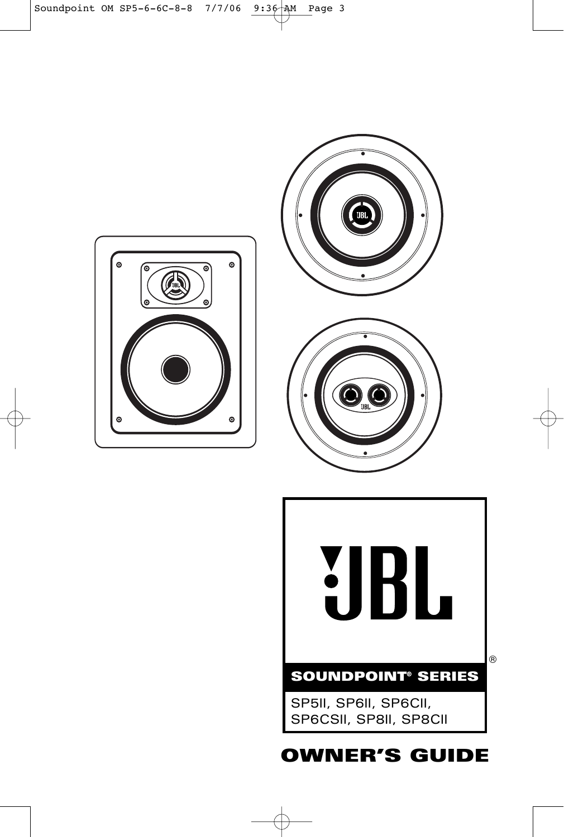







# **OWNER'S GUIDE**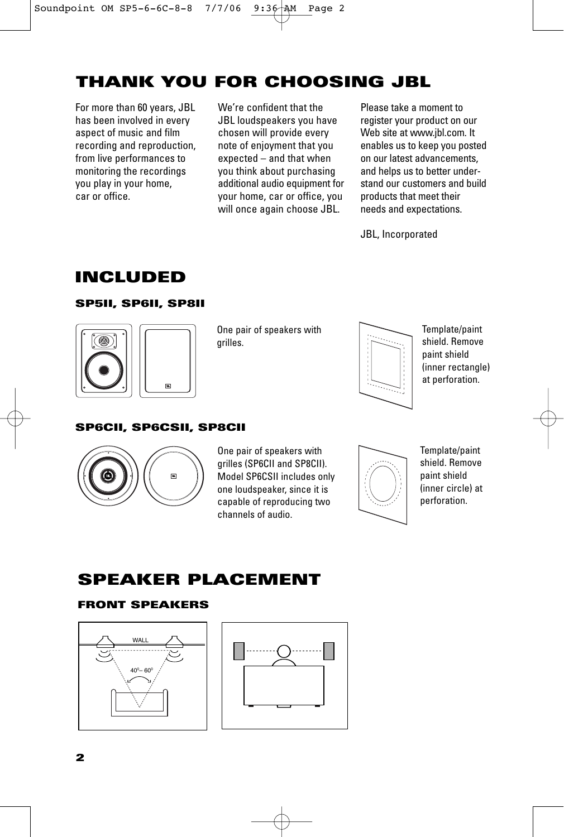# **THANK YOU FOR CHOOSING JBL**

For more than 60 years, JBL has been involved in every aspect of music and film recording and reproduction, from live performances to monitoring the recordings you play in your home, car or office.

We're confident that the JBL loudspeakers you have chosen will provide every note of enjoyment that you expected – and that when you think about purchasing additional audio equipment for your home, car or office, you will once again choose JBL.

Please take a moment to register your product on our Web site at www.jbl.com. It enables us to keep you posted on our latest advancements, and helps us to better understand our customers and build products that meet their needs and expectations.

JBL, Incorporated

# **INCLUDED**

## **SP5II, SP6II, SP8II**



One pair of speakers with grilles.



Template/paint shield. Remove paint shield (inner rectangle) at perforation.

## **SP6CII, SP6CSII, SP8CII**



One pair of speakers with grilles (SP6CII and SP8CII). Model SP6CSII includes only one loudspeaker, since it is capable of reproducing two channels of audio.



Template/paint shield. Remove paint shield (inner circle) at perforation.

## **SPEAKER PLACEMENT**

## **FRONT SPEAKERS**



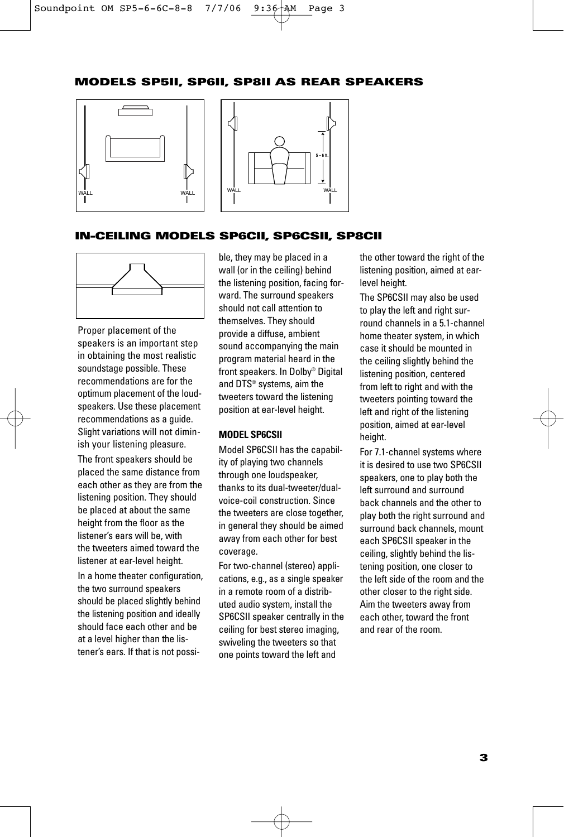## **MODELS SP5II, SP6II, SP8II AS REAR SPEAKERS**





## **IN-CEILING MODELS SP6CII, SP6CSII, SP8CII**



Proper placement of the speakers is an important step in obtaining the most realistic soundstage possible. These recommendations are for the optimum placement of the loudspeakers. Use these placement recommendations as a guide. Slight variations will not diminish your listening pleasure.

The front speakers should be placed the same distance from each other as they are from the listening position. They should be placed at about the same height from the floor as the listener's ears will be, with the tweeters aimed toward the listener at ear-level height.

In a home theater configuration, the two surround speakers should be placed slightly behind the listening position and ideally should face each other and be at a level higher than the listener's ears. If that is not possible, they may be placed in a wall (or in the ceiling) behind the listening position, facing forward. The surround speakers should not call attention to themselves. They should provide a diffuse, ambient sound accompanying the main program material heard in the front speakers. In Dolby® Digital and DTS® systems, aim the tweeters toward the listening position at ear-level height.

### **MODEL SP6CSII**

Model SP6CSII has the capability of playing two channels through one loudspeaker, thanks to its dual-tweeter/dualvoice-coil construction. Since the tweeters are close together, in general they should be aimed away from each other for best coverage.

For two-channel (stereo) applications, e.g., as a single speaker in a remote room of a distributed audio system, install the SP6CSII speaker centrally in the ceiling for best stereo imaging, swiveling the tweeters so that one points toward the left and

the other toward the right of the listening position, aimed at earlevel height.

The SP6CSII may also be used to play the left and right surround channels in a 5.1-channel home theater system, in which case it should be mounted in the ceiling slightly behind the listening position, centered from left to right and with the tweeters pointing toward the left and right of the listening position, aimed at ear-level height.

For 7.1-channel systems where it is desired to use two SP6CSII speakers, one to play both the left surround and surround back channels and the other to play both the right surround and surround back channels, mount each SP6CSII speaker in the ceiling, slightly behind the listening position, one closer to the left side of the room and the other closer to the right side. Aim the tweeters away from each other, toward the front and rear of the room.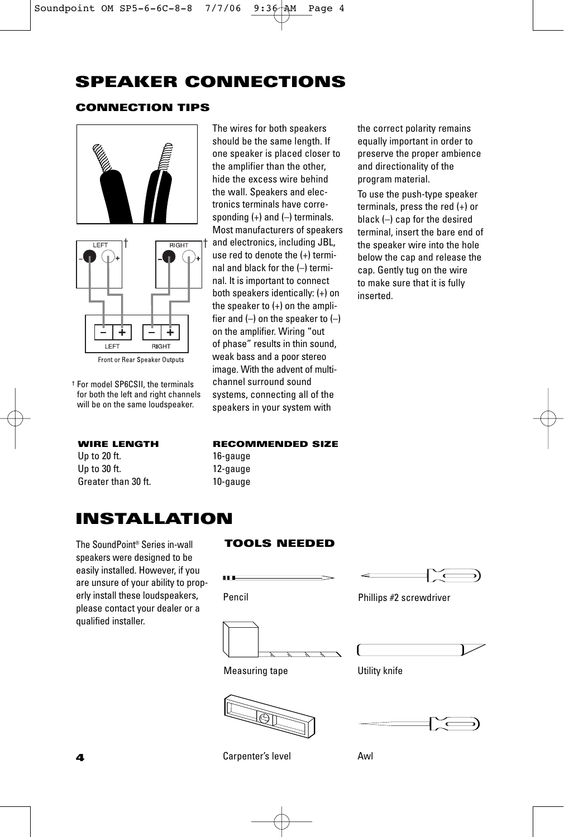# **SPEAKER CONNECTIONS**

## **CONNECTION TIPS**



Front or Rear Speaker Outputs

† For model SP6CSII, the terminals for both the left and right channels will be on the same loudspeaker.

Up to 20 ft. 16-gauge Up to 30 ft. 12-gauge Greater than 30 ft. 10-gauge

The wires for both speakers should be the same length. If one speaker is placed closer to the amplifier than the other, hide the excess wire behind the wall. Speakers and electronics terminals have corresponding  $(+)$  and  $(-)$  terminals. Most manufacturers of speakers and electronics, including JBL, use red to denote the (+) terminal and black for the (–) terminal. It is important to connect both speakers identically: (+) on the speaker to (+) on the amplifier and  $(-)$  on the speaker to  $(-)$ on the amplifier. Wiring "out of phase" results in thin sound, weak bass and a poor stereo image. With the advent of multichannel surround sound systems, connecting all of the speakers in your system with

the correct polarity remains equally important in order to preserve the proper ambience and directionality of the program material.

To use the push-type speaker terminals, press the red (+) or black (–) cap for the desired terminal, insert the bare end of the speaker wire into the hole below the cap and release the cap. Gently tug on the wire to make sure that it is fully inserted.

## **WIRE LENGTH RECOMMENDED SIZE**

Pencil

m.

## **INSTALLATION**

The SoundPoint® Series in-wall **TOOLS NEEDED** speakers were designed to be easily installed. However, if you are unsure of your ability to properly install these loudspeakers, please contact your dealer or a qualified installer.



Phillips #2 screwdriver





Measuring tape **Utility** knife





Carpenter's level **Awl**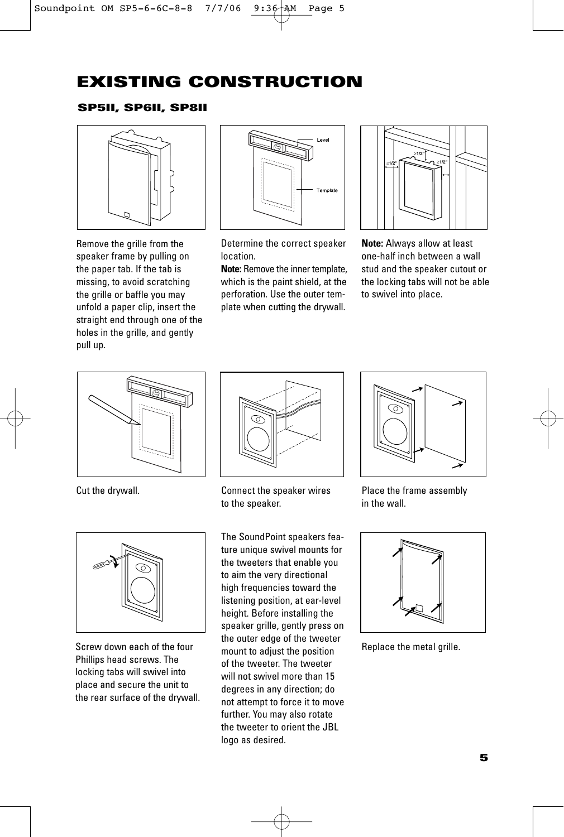# **EXISTING CONSTRUCTION**

## **SP5II, SP6II, SP8II**



Remove the grille from the speaker frame by pulling on the paper tab. If the tab is missing, to avoid scratching the grille or baffle you may unfold a paper clip, insert the straight end through one of the holes in the grille, and gently pull up.



Determine the correct speaker location.

**Note:** Remove the inner template, which is the paint shield, at the perforation. Use the outer template when cutting the drywall.



**Note:** Always allow at least one-half inch between a wall stud and the speaker cutout or the locking tabs will not be able to swivel into place.





Screw down each of the four Phillips head screws. The locking tabs will swivel into place and secure the unit to the rear surface of the drywall.



Cut the drywall. Connect the speaker wires to the speaker.

The SoundPoint speakers feature unique swivel mounts for the tweeters that enable you to aim the very directional high frequencies toward the listening position, at ear-level height. Before installing the speaker grille, gently press on the outer edge of the tweeter mount to adjust the position of the tweeter. The tweeter will not swivel more than 15 degrees in any direction; do not attempt to force it to move further. You may also rotate the tweeter to orient the JBL logo as desired.



Place the frame assembly in the wall.



Replace the metal grille.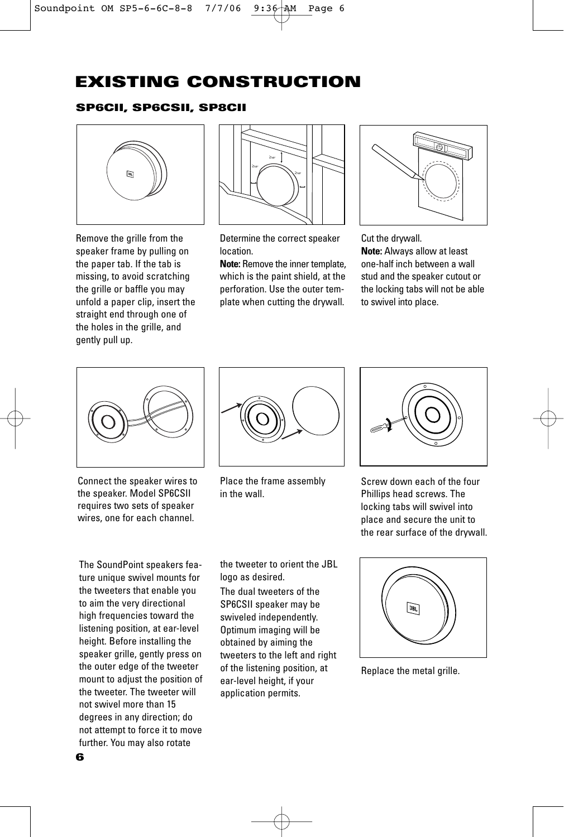# **EXISTING CONSTRUCTION**

## **SP6CII, SP6CSII, SP8CII**



Remove the grille from the speaker frame by pulling on the paper tab. If the tab is missing, to avoid scratching the grille or baffle you may unfold a paper clip, insert the straight end through one of the holes in the grille, and gently pull up.



Determine the correct speaker location.

**Note:** Remove the inner template, which is the paint shield, at the perforation. Use the outer template when cutting the drywall.



Cut the drywall.

**Note:** Always allow at least one-half inch between a wall stud and the speaker cutout or the locking tabs will not be able to swivel into place.



Connect the speaker wires to the speaker. Model SP6CSII requires two sets of speaker wires, one for each channel.

The SoundPoint speakers feature unique swivel mounts for the tweeters that enable you to aim the very directional high frequencies toward the listening position, at ear-level height. Before installing the speaker grille, gently press on the outer edge of the tweeter mount to adjust the position of the tweeter. The tweeter will not swivel more than 15 degrees in any direction; do not attempt to force it to move further. You may also rotate



Place the frame assembly in the wall.



Screw down each of the four Phillips head screws. The locking tabs will swivel into place and secure the unit to the rear surface of the drywall.

the tweeter to orient the JBL logo as desired.

The dual tweeters of the SP6CSII speaker may be swiveled independently. Optimum imaging will be obtained by aiming the tweeters to the left and right of the listening position, at ear-level height, if your application permits.



Replace the metal grille.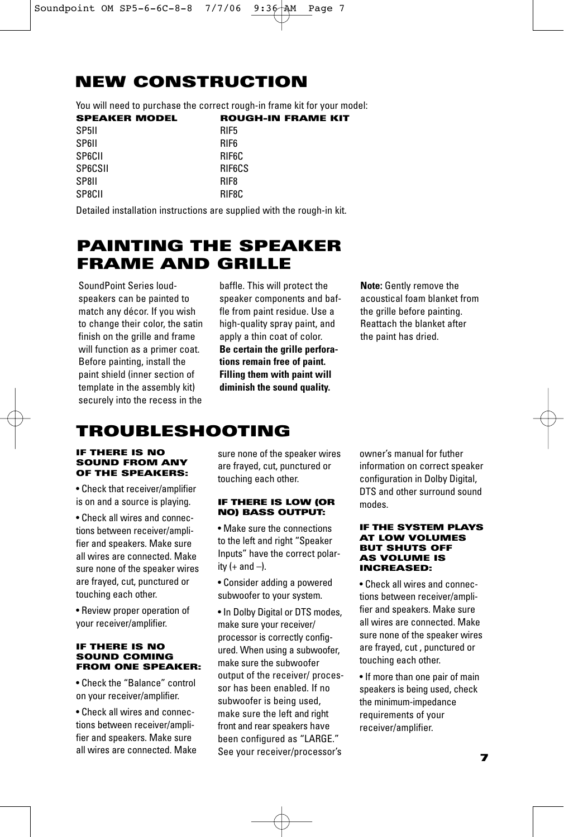# **NEW CONSTRUCTION**

You will need to purchase the correct rough-in frame kit for your model:

Detailed installation instructions are supplied with the rough-in kit.

## **PAINTING THE SPEAKER FRAME AND GRILLE**

SoundPoint Series loudspeakers can be painted to match any décor. If you wish to change their color, the satin finish on the grille and frame will function as a primer coat. Before painting, install the paint shield (inner section of template in the assembly kit) securely into the recess in the

baffle. This will protect the speaker components and baffle from paint residue. Use a high-quality spray paint, and apply a thin coat of color. **Be certain the grille perforations remain free of paint. Filling them with paint will diminish the sound quality.**

**Note:** Gently remove the acoustical foam blanket from the grille before painting. Reattach the blanket after the paint has dried.

# **TROUBLESHOOTING**

#### **IF THERE IS NO SOUND FROM ANY OF THE SPEAKERS:**

• Check that receiver/amplifier is on and a source is playing.

• Check all wires and connections between receiver/amplifier and speakers. Make sure all wires are connected. Make sure none of the speaker wires are frayed, cut, punctured or touching each other.

• Review proper operation of your receiver/amplifier.

### **IF THERE IS NO SOUND COMING FROM ONE SPEAKER:**

• Check the "Balance" control on your receiver/amplifier.

• Check all wires and connections between receiver/amplifier and speakers. Make sure all wires are connected. Make sure none of the speaker wires are frayed, cut, punctured or touching each other.

### **IF THERE IS LOW (OR NO) BASS OUTPUT:**

• Make sure the connections to the left and right "Speaker Inputs" have the correct polarity  $(+$  and  $-)$ .

• Consider adding a powered subwoofer to your system.

• In Dolby Digital or DTS modes, make sure your receiver/ processor is correctly configured. When using a subwoofer, make sure the subwoofer output of the receiver/ processor has been enabled. If no subwoofer is being used, make sure the left and right front and rear speakers have been configured as "LARGE." See your receiver/processor's

owner's manual for futher information on correct speaker configuration in Dolby Digital, DTS and other surround sound modes.

#### **IF THE SYSTEM PLAYS AT LOW VOLUMES BUT SHUTS OFF AS VOLUME IS INCREASED:**

• Check all wires and connections between receiver/amplifier and speakers. Make sure all wires are connected. Make sure none of the speaker wires are frayed, cut , punctured or touching each other.

• If more than one pair of main speakers is being used, check the minimum-impedance requirements of your receiver/amplifier.